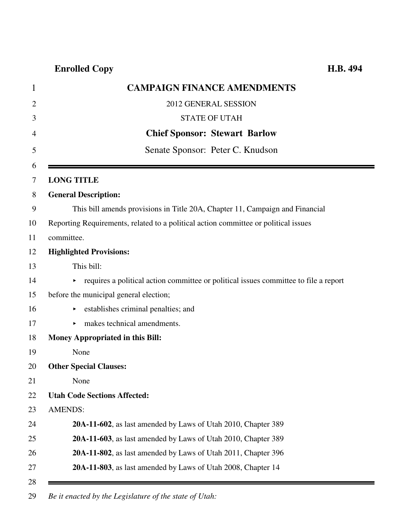| $\mathbf 1$    | <b>CAMPAIGN FINANCE AMENDMENTS</b>                                                   |
|----------------|--------------------------------------------------------------------------------------|
| $\overline{2}$ | 2012 GENERAL SESSION                                                                 |
| 3              | <b>STATE OF UTAH</b>                                                                 |
| 4              | <b>Chief Sponsor: Stewart Barlow</b>                                                 |
| 5              | Senate Sponsor: Peter C. Knudson                                                     |
| 6<br>7         | <b>LONG TITLE</b>                                                                    |
| 8              | <b>General Description:</b>                                                          |
| 9              | This bill amends provisions in Title 20A, Chapter 11, Campaign and Financial         |
| 10             | Reporting Requirements, related to a political action committee or political issues  |
| 11             | committee.                                                                           |
| 12             | <b>Highlighted Provisions:</b>                                                       |
| 13             | This bill:                                                                           |
| 14             | requires a political action committee or political issues committee to file a report |
| 15             | before the municipal general election;                                               |
| 16             | establishes criminal penalties; and                                                  |
| 17             | makes technical amendments.                                                          |
| 18             | Money Appropriated in this Bill:                                                     |
| 19             | None                                                                                 |
| 20             | <b>Other Special Clauses:</b>                                                        |
| 21             | None                                                                                 |
| 22             | <b>Utah Code Sections Affected:</b>                                                  |
| 23             | <b>AMENDS:</b>                                                                       |
| 24             | 20A-11-602, as last amended by Laws of Utah 2010, Chapter 389                        |
| 25             | 20A-11-603, as last amended by Laws of Utah 2010, Chapter 389                        |
| 26             | 20A-11-802, as last amended by Laws of Utah 2011, Chapter 396                        |
| 27             | 20A-11-803, as last amended by Laws of Utah 2008, Chapter 14                         |
| 28             |                                                                                      |

29 *Be it enacted by the Legislature of the state of Utah:*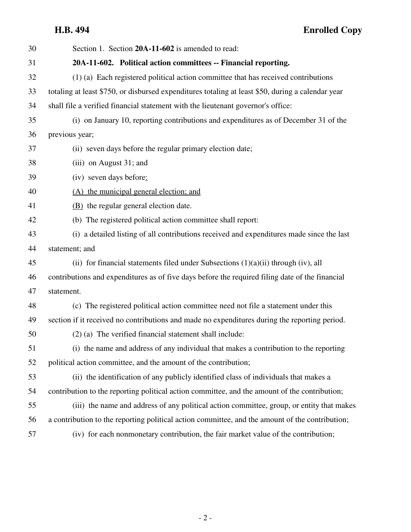**H.B. 494 Enrolled Copy**

| 30 | Section 1. Section 20A-11-602 is amended to read:                                                 |
|----|---------------------------------------------------------------------------------------------------|
| 31 | 20A-11-602. Political action committees -- Financial reporting.                                   |
| 32 | (1) (a) Each registered political action committee that has received contributions                |
| 33 | totaling at least \$750, or disbursed expenditures totaling at least \$50, during a calendar year |
| 34 | shall file a verified financial statement with the lieutenant governor's office:                  |
| 35 | (i) on January 10, reporting contributions and expenditures as of December 31 of the              |
| 36 | previous year;                                                                                    |
| 37 | (ii) seven days before the regular primary election date;                                         |
| 38 | (iii) on August 31; and                                                                           |
| 39 | (iv) seven days before:                                                                           |
| 40 | (A) the municipal general election; and                                                           |
| 41 | (B) the regular general election date.                                                            |
| 42 | (b) The registered political action committee shall report:                                       |
| 43 | (i) a detailed listing of all contributions received and expenditures made since the last         |
| 44 | statement; and                                                                                    |
| 45 | (ii) for financial statements filed under Subsections $(1)(a)(ii)$ through (iv), all              |
| 46 | contributions and expenditures as of five days before the required filing date of the financial   |
| 47 | statement.                                                                                        |
| 48 | (c) The registered political action committee need not file a statement under this                |
| 49 | section if it received no contributions and made no expenditures during the reporting period.     |
| 50 | (2) (a) The verified financial statement shall include:                                           |
| 51 | (i) the name and address of any individual that makes a contribution to the reporting             |
| 52 | political action committee, and the amount of the contribution;                                   |
| 53 | (ii) the identification of any publicly identified class of individuals that makes a              |
| 54 | contribution to the reporting political action committee, and the amount of the contribution;     |
| 55 | (iii) the name and address of any political action committee, group, or entity that makes         |
| 56 | a contribution to the reporting political action committee, and the amount of the contribution;   |
| 57 | (iv) for each nonmonetary contribution, the fair market value of the contribution;                |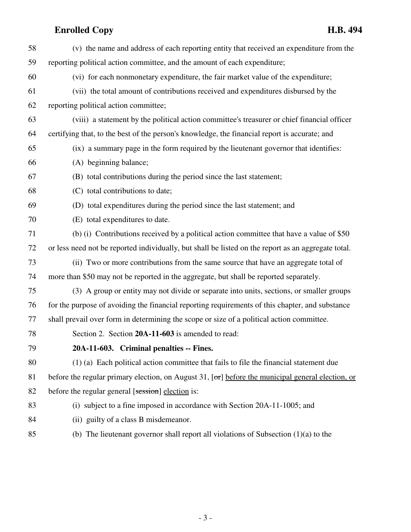| 58 | (v) the name and address of each reporting entity that received an expenditure from the                   |
|----|-----------------------------------------------------------------------------------------------------------|
| 59 | reporting political action committee, and the amount of each expenditure;                                 |
| 60 | (vi) for each nonmonetary expenditure, the fair market value of the expenditure;                          |
| 61 | (vii) the total amount of contributions received and expenditures disbursed by the                        |
| 62 | reporting political action committee;                                                                     |
| 63 | (viii) a statement by the political action committee's treasurer or chief financial officer               |
| 64 | certifying that, to the best of the person's knowledge, the financial report is accurate; and             |
| 65 | (ix) a summary page in the form required by the lieutenant governor that identifies:                      |
| 66 | (A) beginning balance;                                                                                    |
| 67 | (B) total contributions during the period since the last statement;                                       |
| 68 | (C) total contributions to date;                                                                          |
| 69 | (D) total expenditures during the period since the last statement; and                                    |
| 70 | (E) total expenditures to date.                                                                           |
| 71 | (b) (i) Contributions received by a political action committee that have a value of \$50                  |
| 72 | or less need not be reported individually, but shall be listed on the report as an aggregate total.       |
| 73 | (ii) Two or more contributions from the same source that have an aggregate total of                       |
| 74 | more than \$50 may not be reported in the aggregate, but shall be reported separately.                    |
| 75 | (3) A group or entity may not divide or separate into units, sections, or smaller groups                  |
| 76 | for the purpose of avoiding the financial reporting requirements of this chapter, and substance           |
| 77 | shall prevail over form in determining the scope or size of a political action committee.                 |
| 78 | Section 2. Section 20A-11-603 is amended to read:                                                         |
| 79 | 20A-11-603. Criminal penalties -- Fines.                                                                  |
| 80 | (1) (a) Each political action committee that fails to file the financial statement due                    |
| 81 | before the regular primary election, on August 31, $[\sigma r]$ before the municipal general election, or |
| 82 | before the regular general [session] election is:                                                         |
| 83 | (i) subject to a fine imposed in accordance with Section 20A-11-1005; and                                 |
| 84 | (ii) guilty of a class B misdemeanor.                                                                     |
| 85 | (b) The lieutenant governor shall report all violations of Subsection $(1)(a)$ to the                     |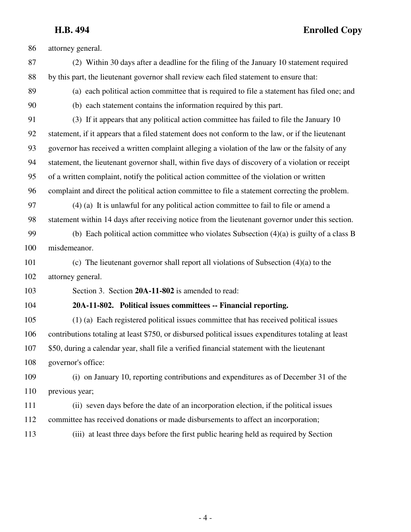**H.B. 494 Enrolled Copy**

86 attorney general. 87 (2) Within 30 days after a deadline for the filing of the January 10 statement required 88 by this part, the lieutenant governor shall review each filed statement to ensure that: 89 (a) each political action committee that is required to file a statement has filed one; and 90 (b) each statement contains the information required by this part. 91 (3) If it appears that any political action committee has failed to file the January 10 92 statement, if it appears that a filed statement does not conform to the law, or if the lieutenant 93 governor has received a written complaint alleging a violation of the law or the falsity of any 94 statement, the lieutenant governor shall, within five days of discovery of a violation or receipt 95 of a written complaint, notify the political action committee of the violation or written 96 complaint and direct the political action committee to file a statement correcting the problem. 97 (4) (a) It is unlawful for any political action committee to fail to file or amend a 98 statement within 14 days after receiving notice from the lieutenant governor under this section. 99 (b) Each political action committee who violates Subsection (4)(a) is guilty of a class B 100 misdemeanor. 101 (c) The lieutenant governor shall report all violations of Subsection (4)(a) to the 102 attorney general. 103 Section 3. Section **20A-11-802** is amended to read: 104 **20A-11-802. Political issues committees -- Financial reporting.** 105 (1) (a) Each registered political issues committee that has received political issues 106 contributions totaling at least \$750, or disbursed political issues expenditures totaling at least 107 \$50, during a calendar year, shall file a verified financial statement with the lieutenant 108 governor's office: 109 (i) on January 10, reporting contributions and expenditures as of December 31 of the 110 previous year; 111 (ii) seven days before the date of an incorporation election, if the political issues 112 committee has received donations or made disbursements to affect an incorporation; 113 (iii) at least three days before the first public hearing held as required by Section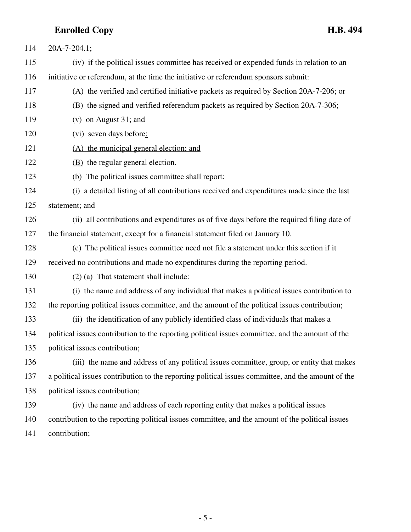| 114 | $20A-7-204.1;$                                                                                     |
|-----|----------------------------------------------------------------------------------------------------|
| 115 | (iv) if the political issues committee has received or expended funds in relation to an            |
| 116 | initiative or referendum, at the time the initiative or referendum sponsors submit:                |
| 117 | (A) the verified and certified initiative packets as required by Section 20A-7-206; or             |
| 118 | (B) the signed and verified referendum packets as required by Section 20A-7-306;                   |
| 119 | $(v)$ on August 31; and                                                                            |
| 120 | (vi) seven days before:                                                                            |
| 121 | (A) the municipal general election; and                                                            |
| 122 | (B) the regular general election.                                                                  |
| 123 | (b) The political issues committee shall report:                                                   |
| 124 | (i) a detailed listing of all contributions received and expenditures made since the last          |
| 125 | statement; and                                                                                     |
| 126 | (ii) all contributions and expenditures as of five days before the required filing date of         |
| 127 | the financial statement, except for a financial statement filed on January 10.                     |
| 128 | (c) The political issues committee need not file a statement under this section if it              |
| 129 | received no contributions and made no expenditures during the reporting period.                    |
| 130 | $(2)$ (a) That statement shall include:                                                            |
| 131 | (i) the name and address of any individual that makes a political issues contribution to           |
| 132 | the reporting political issues committee, and the amount of the political issues contribution;     |
| 133 | (ii) the identification of any publicly identified class of individuals that makes a               |
| 134 | political issues contribution to the reporting political issues committee, and the amount of the   |
| 135 | political issues contribution;                                                                     |
| 136 | (iii) the name and address of any political issues committee, group, or entity that makes          |
| 137 | a political issues contribution to the reporting political issues committee, and the amount of the |
| 138 | political issues contribution;                                                                     |
| 139 | (iv) the name and address of each reporting entity that makes a political issues                   |
| 140 | contribution to the reporting political issues committee, and the amount of the political issues   |
| 141 | contribution;                                                                                      |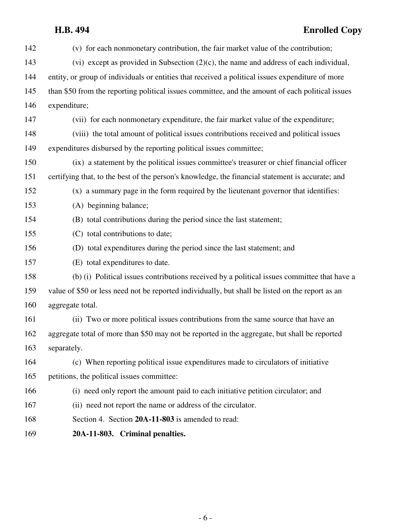# **H.B. 494 Enrolled Copy**

| 142 | (v) for each nonmonetary contribution, the fair market value of the contribution;                |
|-----|--------------------------------------------------------------------------------------------------|
| 143 | (vi) except as provided in Subsection $(2)(c)$ , the name and address of each individual,        |
| 144 | entity, or group of individuals or entities that received a political issues expenditure of more |
| 145 | than \$50 from the reporting political issues committee, and the amount of each political issues |
| 146 | expenditure;                                                                                     |
| 147 | (vii) for each nonmonetary expenditure, the fair market value of the expenditure;                |
| 148 | (viii) the total amount of political issues contributions received and political issues          |
| 149 | expenditures disbursed by the reporting political issues committee;                              |
| 150 | (ix) a statement by the political issues committee's treasurer or chief financial officer        |
| 151 | certifying that, to the best of the person's knowledge, the financial statement is accurate; and |
| 152 | (x) a summary page in the form required by the lieutenant governor that identifies:              |
| 153 | (A) beginning balance;                                                                           |
| 154 | (B) total contributions during the period since the last statement;                              |
| 155 | (C) total contributions to date;                                                                 |
| 156 | (D) total expenditures during the period since the last statement; and                           |
| 157 | (E) total expenditures to date.                                                                  |
| 158 | (b) (i) Political issues contributions received by a political issues committee that have a      |
| 159 | value of \$50 or less need not be reported individually, but shall be listed on the report as an |
| 160 | aggregate total.                                                                                 |
| 161 | (ii) Two or more political issues contributions from the same source that have an                |
| 162 | aggregate total of more than \$50 may not be reported in the aggregate, but shall be reported    |
| 163 | separately.                                                                                      |
| 164 | (c) When reporting political issue expenditures made to circulators of initiative                |
| 165 | petitions, the political issues committee:                                                       |
| 166 | (i) need only report the amount paid to each initiative petition circulator; and                 |
| 167 | (ii) need not report the name or address of the circulator.                                      |
| 168 | Section 4. Section 20A-11-803 is amended to read:                                                |
| 169 | 20A-11-803. Criminal penalties.                                                                  |